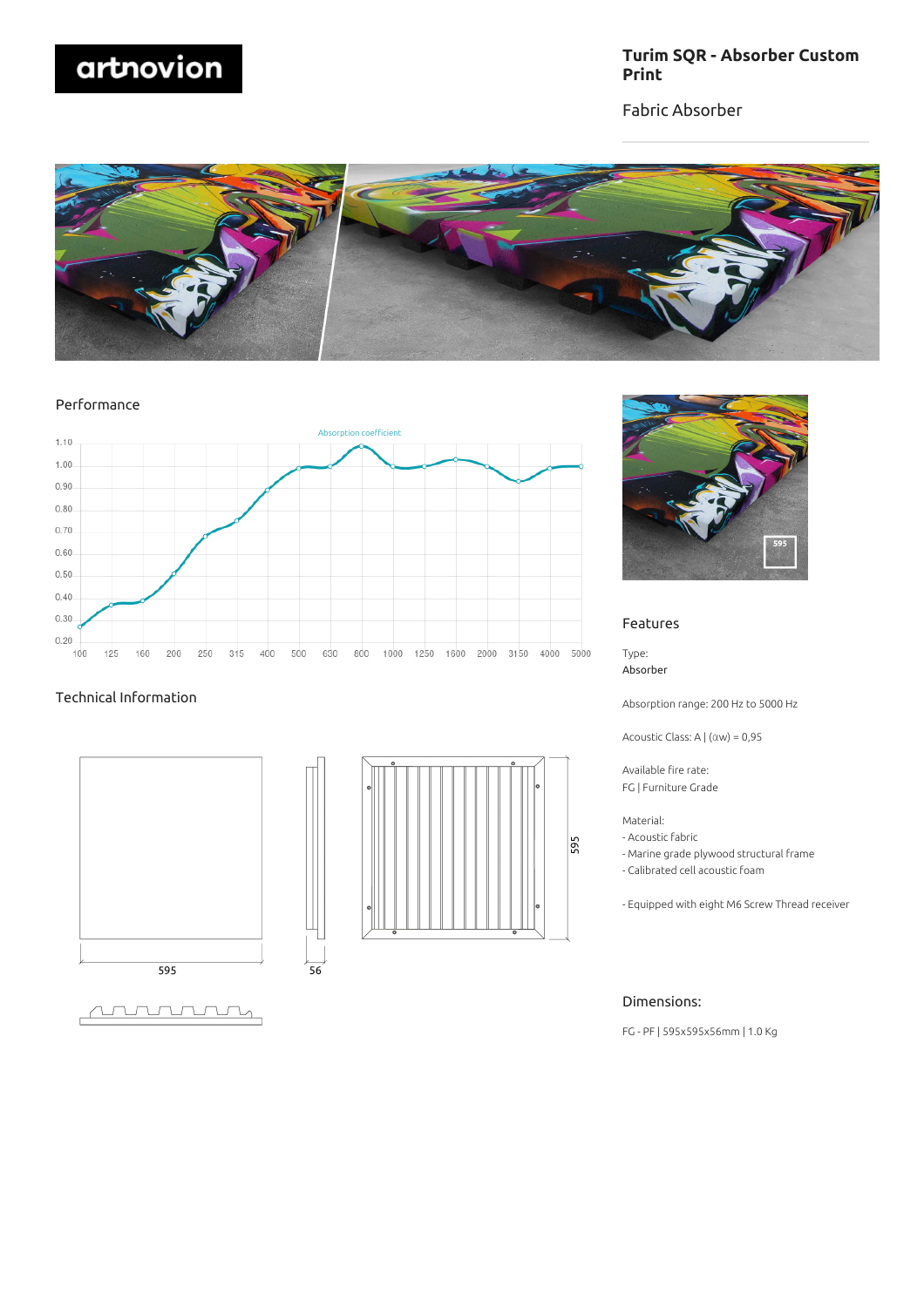

## **Turim SQR - Absorber Custom Print**

Fabric Absorber



Performance



 $\overline{56}$ 

## Technical Information







### Features

Type: Absorber

Absorption range: 200 Hz to 5000 Hz

Acoustic Class: A | (αw) = 0,95

Available fire rate: FG | Furniture Grade

Material:

- Acoustic fabric
- Marine grade plywood structural frame
- Calibrated cell acoustic foam
- Equipped with eight M6 Screw Thread receiver

## Dimensions:

FG - PF | 595x595x56mm | 1.0 Kg

<u>ATUTUTUTUM</u>